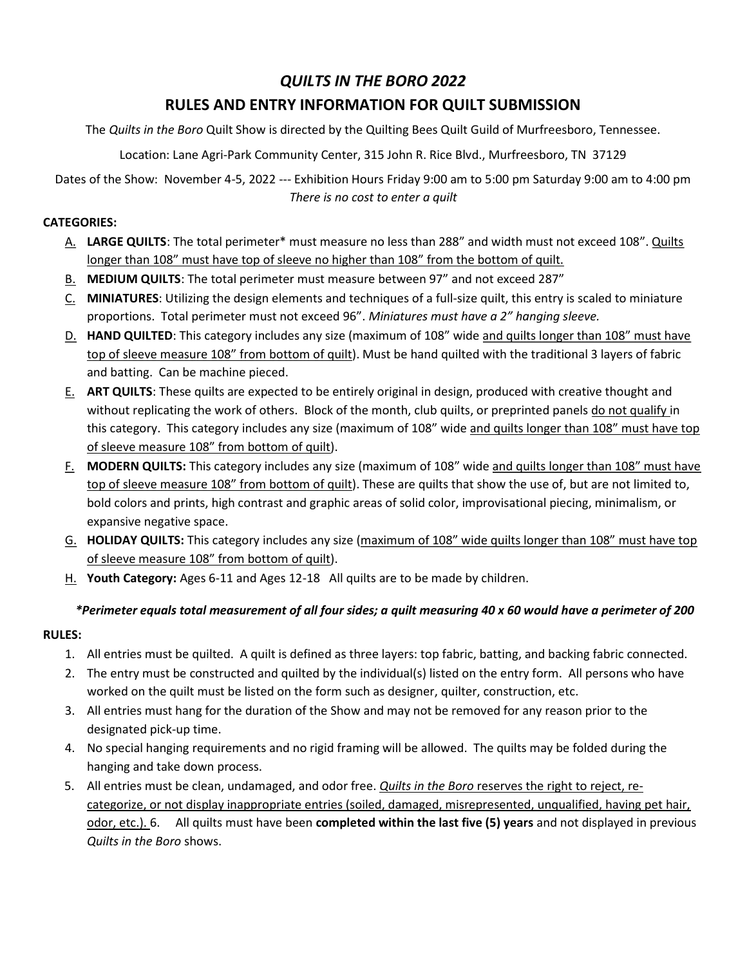### QUILTS IN THE BORO 2022

# RULES AND ENTRY INFORMATION FOR QUILT SUBMISSION

The Quilts in the Boro Quilt Show is directed by the Quilting Bees Quilt Guild of Murfreesboro, Tennessee.

Location: Lane Agri-Park Community Center, 315 John R. Rice Blvd., Murfreesboro, TN 37129

Dates of the Show: November 4-5, 2022 --- Exhibition Hours Friday 9:00 am to 5:00 pm Saturday 9:00 am to 4:00 pm There is no cost to enter a quilt

#### CATEGORIES:

- A. LARGE QUILTS: The total perimeter\* must measure no less than 288" and width must not exceed 108". Quilts longer than 108" must have top of sleeve no higher than 108" from the bottom of quilt.
- B. MEDIUM QUILTS: The total perimeter must measure between 97" and not exceed 287"
- C. MINIATURES: Utilizing the design elements and techniques of a full-size quilt, this entry is scaled to miniature proportions. Total perimeter must not exceed 96". Miniatures must have a 2" hanging sleeve.
- D. HAND QUILTED: This category includes any size (maximum of 108" wide and quilts longer than 108" must have top of sleeve measure 108" from bottom of quilt). Must be hand quilted with the traditional 3 layers of fabric and batting. Can be machine pieced.
- E. ART QUILTS: These quilts are expected to be entirely original in design, produced with creative thought and without replicating the work of others. Block of the month, club quilts, or preprinted panels do not qualify in this category. This category includes any size (maximum of 108" wide and quilts longer than 108" must have top of sleeve measure 108" from bottom of quilt).
- F. MODERN QUILTS: This category includes any size (maximum of 108" wide and quilts longer than 108" must have top of sleeve measure 108" from bottom of quilt). These are quilts that show the use of, but are not limited to, bold colors and prints, high contrast and graphic areas of solid color, improvisational piecing, minimalism, or expansive negative space.
- G. HOLIDAY QUILTS: This category includes any size (maximum of 108" wide quilts longer than 108" must have top of sleeve measure 108" from bottom of quilt).
- H. Youth Category: Ages 6-11 and Ages 12-18 All quilts are to be made by children.

#### \*Perimeter equals total measurement of all four sides; a quilt measuring 40 x 60 would have a perimeter of 200

#### RULES:

- 1. All entries must be quilted. A quilt is defined as three layers: top fabric, batting, and backing fabric connected.
- 2. The entry must be constructed and quilted by the individual(s) listed on the entry form. All persons who have worked on the quilt must be listed on the form such as designer, quilter, construction, etc.
- 3. All entries must hang for the duration of the Show and may not be removed for any reason prior to the designated pick-up time.
- 4. No special hanging requirements and no rigid framing will be allowed. The quilts may be folded during the hanging and take down process.
- 5. All entries must be clean, undamaged, and odor free. Quilts in the Boro reserves the right to reject, recategorize, or not display inappropriate entries (soiled, damaged, misrepresented, unqualified, having pet hair, odor, etc.). 6. All quilts must have been completed within the last five (5) years and not displayed in previous Quilts in the Boro shows.